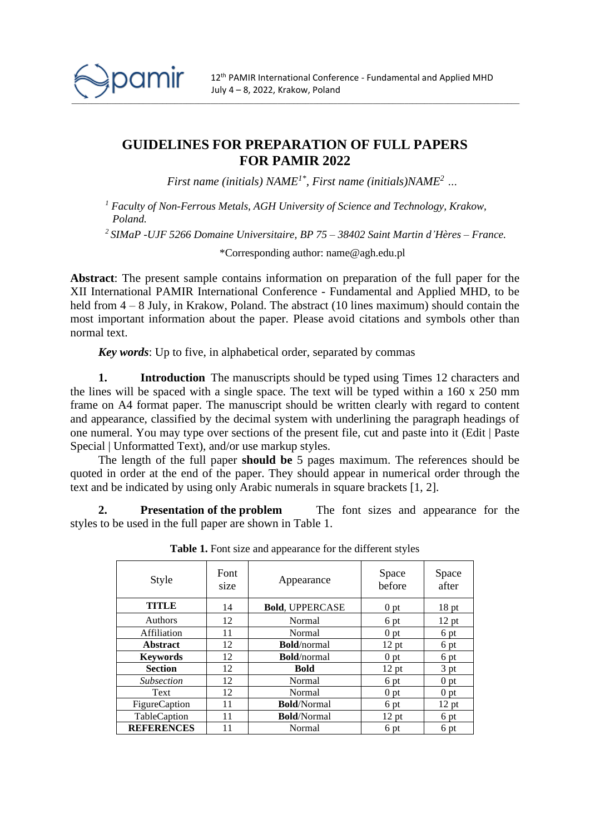

## **GUIDELINES FOR PREPARATION OF FULL PAPERS FOR PAMIR 2022**

*First name (initials) NAME1\* , First name (initials)NAME<sup>2</sup> …*

*<sup>1</sup> Faculty of Non-Ferrous Metals, AGH University of Science and Technology, Krakow, Poland.*

*2 SIMaP -UJF 5266 Domaine Universitaire, BP 75 – 38402 Saint Martin d'Hères – France.*

\*Corresponding author: name@agh.edu.pl

**Abstract**: The present sample contains information on preparation of the full paper for the XII International PAMIR International Conference - Fundamental and Applied MHD, to be held from  $4 - 8$  July, in Krakow, Poland. The abstract (10 lines maximum) should contain the most important information about the paper. Please avoid citations and symbols other than normal text.

*Key words*: Up to five, in alphabetical order, separated by commas

**1. Introduction** The manuscripts should be typed using Times 12 characters and the lines will be spaced with a single space. The text will be typed within a 160 x 250 mm frame on A4 format paper. The manuscript should be written clearly with regard to content and appearance, classified by the decimal system with underlining the paragraph headings of one numeral. You may type over sections of the present file, cut and paste into it (Edit | Paste Special | Unformatted Text), and/or use markup styles.

The length of the full paper **should be** 5 pages maximum. The references should be quoted in order at the end of the paper. They should appear in numerical order through the text and be indicated by using only Arabic numerals in square brackets [1, 2].

**2. Presentation of the problem** The font sizes and appearance for the styles to be used in the full paper are shown in Table 1.

| Style             | Font<br>size | Appearance             | Space<br>before | Space<br>after   |
|-------------------|--------------|------------------------|-----------------|------------------|
| TITLE             | 14           | <b>Bold, UPPERCASE</b> | 0 <sub>pt</sub> | 18 <sub>pt</sub> |
| <b>Authors</b>    | 12           | Normal                 | 6 pt            | 12 pt            |
| Affiliation       | 11           | Normal                 | 0 pt            | 6 pt             |
| <b>Abstract</b>   | 12           | <b>Bold</b> /normal    | $12$ pt         | 6 pt             |
| <b>Keywords</b>   | 12           | <b>Bold</b> /normal    | 0 pt            | 6 pt             |
| <b>Section</b>    | 12           | <b>Bold</b>            | $12$ pt         | 3 pt             |
| <b>Subsection</b> | 12           | Normal                 | 6 pt            | 0 <sub>pt</sub>  |
| Text              | 12           | Normal                 | 0 <sub>pt</sub> | 0 pt             |
| FigureCaption     | 11           | <b>Bold/Normal</b>     | 6 pt            | 12 pt            |
| TableCaption      | 11           | <b>Bold/Normal</b>     | $12$ pt         | 6 pt             |
| <b>REFERENCES</b> | 11           | Normal                 | 6 pt            | 6 pt             |

Table 1. Font size and appearance for the different styles